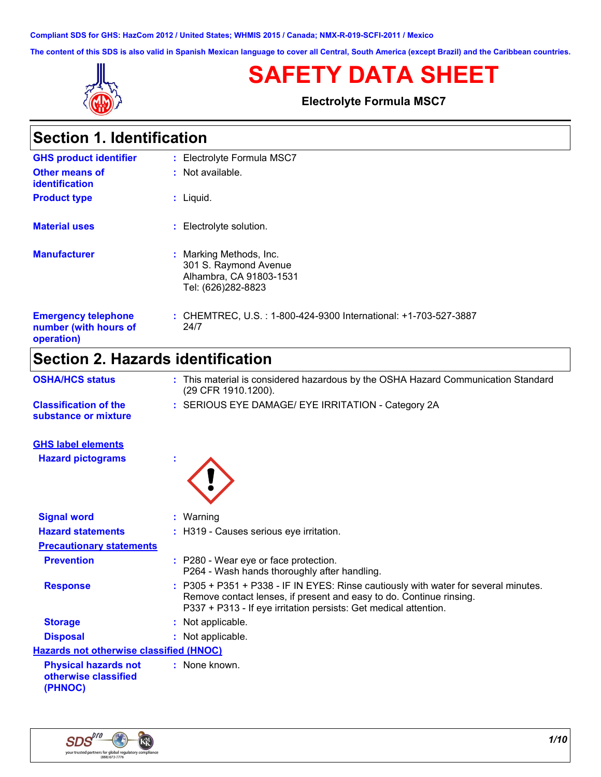**Compliant SDS for GHS: HazCom 2012 / United States; WHMIS 2015 / Canada; NMX-R-019-SCFI-2011 / Mexico**

**The content of this SDS is also valid in Spanish Mexican language to cover all Central, South America (except Brazil) and the Caribbean countries.**



# **SAFETY DATA SHEET**

**Electrolyte Formula MSC7**

| <b>Section 1. Identification</b>                                  |                                                                                                   |
|-------------------------------------------------------------------|---------------------------------------------------------------------------------------------------|
| <b>GHS product identifier</b>                                     | : Electrolyte Formula MSC7                                                                        |
| Other means of<br><b>identification</b>                           | $:$ Not available.                                                                                |
| <b>Product type</b>                                               | : Liquid.                                                                                         |
| <b>Material uses</b>                                              | : Electrolyte solution.                                                                           |
| <b>Manufacturer</b>                                               | : Marking Methods, Inc.<br>301 S. Raymond Avenue<br>Alhambra, CA 91803-1531<br>Tel: (626)282-8823 |
| <b>Emergency telephone</b><br>number (with hours of<br>operation) | : CHEMTREC, U.S. : 1-800-424-9300 International: +1-703-527-3887<br>24/7                          |
| <b>Section 2. Hazards identification</b>                          |                                                                                                   |

| <b>OSHA/HCS status</b>                                         | : This material is considered hazardous by the OSHA Hazard Communication Standard<br>(29 CFR 1910.1200).                                                                                                                       |
|----------------------------------------------------------------|--------------------------------------------------------------------------------------------------------------------------------------------------------------------------------------------------------------------------------|
| <b>Classification of the</b><br>substance or mixture           | : SERIOUS EYE DAMAGE/ EYE IRRITATION - Category 2A                                                                                                                                                                             |
| <b>GHS label elements</b>                                      |                                                                                                                                                                                                                                |
| <b>Hazard pictograms</b>                                       |                                                                                                                                                                                                                                |
| <b>Signal word</b>                                             | : Warning                                                                                                                                                                                                                      |
| <b>Hazard statements</b>                                       | : H319 - Causes serious eye irritation.                                                                                                                                                                                        |
| <b>Precautionary statements</b>                                |                                                                                                                                                                                                                                |
| <b>Prevention</b>                                              | : P280 - Wear eye or face protection.<br>P264 - Wash hands thoroughly after handling.                                                                                                                                          |
| <b>Response</b>                                                | : P305 + P351 + P338 - IF IN EYES: Rinse cautiously with water for several minutes.<br>Remove contact lenses, if present and easy to do. Continue rinsing.<br>P337 + P313 - If eye irritation persists: Get medical attention. |
| <b>Storage</b>                                                 | : Not applicable.                                                                                                                                                                                                              |
| <b>Disposal</b>                                                | : Not applicable.                                                                                                                                                                                                              |
| <b>Hazards not otherwise classified (HNOC)</b>                 |                                                                                                                                                                                                                                |
| <b>Physical hazards not</b><br>otherwise classified<br>(PHNOC) | : None known.                                                                                                                                                                                                                  |
|                                                                |                                                                                                                                                                                                                                |

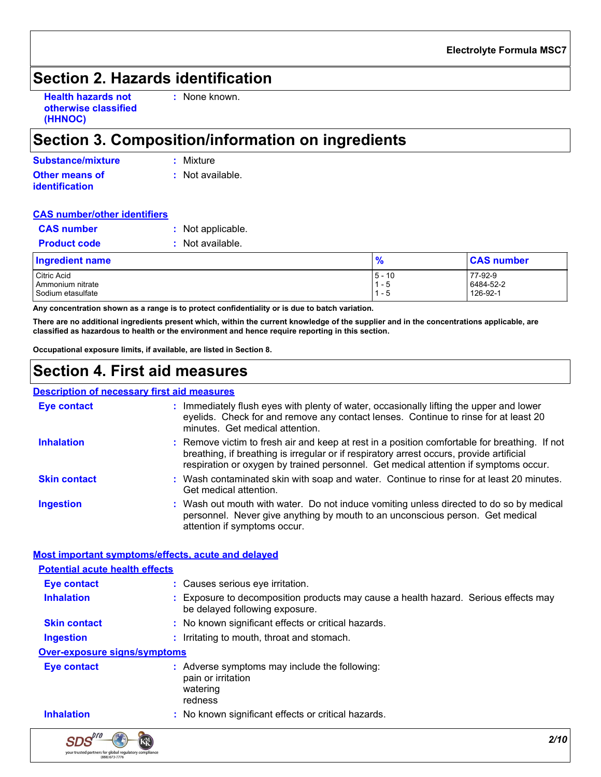# **Section 2. Hazards identification**

| <b>Health hazards not</b> |  |
|---------------------------|--|
| otherwise classified      |  |
| (HHNOC)                   |  |

**:** None known.

# **Section 3. Composition/information on ingredients**

| Substance/mixture                       | : Mixture        |
|-----------------------------------------|------------------|
| Other means of<br><i>identification</i> | : Not available. |

#### **CAS number/other identifiers**

| <b>CAS number</b>   | : Not applicable.  |
|---------------------|--------------------|
| <b>Product code</b> | $:$ Not available. |

| Ingredient name   | l 0      | <b>CAS number</b> |  |
|-------------------|----------|-------------------|--|
| Citric Acid       | $5 - 10$ | 77-92-9           |  |
| Ammonium nitrate  | - 5      | 6484-52-2         |  |
| Sodium etasulfate | - 0      | 126-92-1          |  |

**Any concentration shown as a range is to protect confidentiality or is due to batch variation.**

**There are no additional ingredients present which, within the current knowledge of the supplier and in the concentrations applicable, are classified as hazardous to health or the environment and hence require reporting in this section.**

**Occupational exposure limits, if available, are listed in Section 8.**

### **Section 4. First aid measures**

#### **Description of necessary first aid measures**

| <u>, addition of hoodgeart motern margement</u> |                                                                                                                                                                                                                                                                                   |
|-------------------------------------------------|-----------------------------------------------------------------------------------------------------------------------------------------------------------------------------------------------------------------------------------------------------------------------------------|
| <b>Eye contact</b>                              | : Immediately flush eyes with plenty of water, occasionally lifting the upper and lower<br>eyelids. Check for and remove any contact lenses. Continue to rinse for at least 20<br>minutes. Get medical attention.                                                                 |
| <b>Inhalation</b>                               | : Remove victim to fresh air and keep at rest in a position comfortable for breathing. If not<br>breathing, if breathing is irregular or if respiratory arrest occurs, provide artificial<br>respiration or oxygen by trained personnel. Get medical attention if symptoms occur. |
| <b>Skin contact</b>                             | : Wash contaminated skin with soap and water. Continue to rinse for at least 20 minutes.<br>Get medical attention.                                                                                                                                                                |
| <b>Ingestion</b>                                | : Wash out mouth with water. Do not induce vomiting unless directed to do so by medical<br>personnel. Never give anything by mouth to an unconscious person. Get medical<br>attention if symptoms occur.                                                                          |

#### **Most important symptoms/effects, acute and delayed**

| <b>Potential acute health effects</b> |                                                                                                                     |
|---------------------------------------|---------------------------------------------------------------------------------------------------------------------|
| Eye contact                           | : Causes serious eye irritation.                                                                                    |
| <b>Inhalation</b>                     | Exposure to decomposition products may cause a health hazard. Serious effects may<br>be delayed following exposure. |
| <b>Skin contact</b>                   | : No known significant effects or critical hazards.                                                                 |
| <b>Ingestion</b>                      | : Irritating to mouth, throat and stomach.                                                                          |
| <b>Over-exposure signs/symptoms</b>   |                                                                                                                     |
| <b>Eye contact</b>                    | : Adverse symptoms may include the following:<br>pain or irritation<br>watering<br>redness                          |
| <b>Inhalation</b>                     | : No known significant effects or critical hazards.                                                                 |

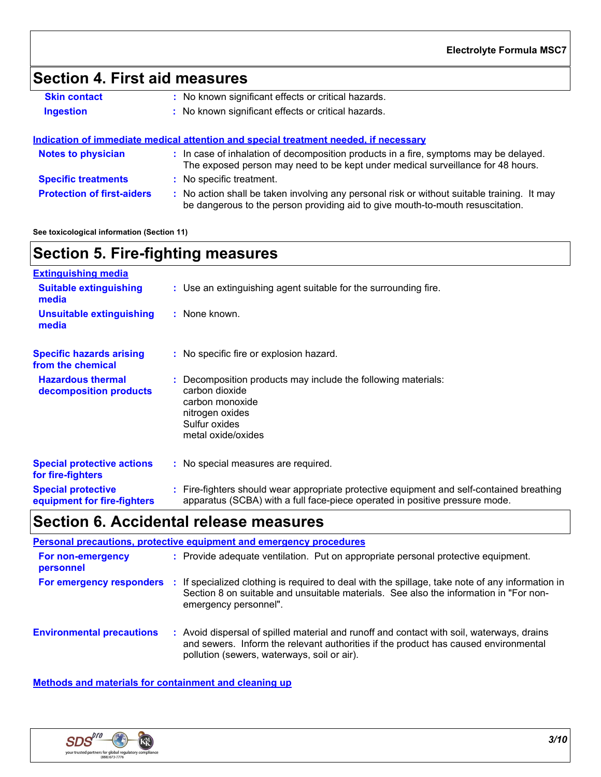# **Section 4. First aid measures**

| <b>Skin contact</b> | : No known significant effects or critical hazards. |
|---------------------|-----------------------------------------------------|
| <b>Ingestion</b>    | : No known significant effects or critical hazards. |
|                     |                                                     |

|                                   | Indication of immediate medical attention and special treatment needed, if necessary                                                                                          |
|-----------------------------------|-------------------------------------------------------------------------------------------------------------------------------------------------------------------------------|
| <b>Notes to physician</b>         | : In case of inhalation of decomposition products in a fire, symptoms may be delayed.<br>The exposed person may need to be kept under medical surveillance for 48 hours.      |
| <b>Specific treatments</b>        | : No specific treatment.                                                                                                                                                      |
| <b>Protection of first-aiders</b> | : No action shall be taken involving any personal risk or without suitable training. It may<br>be dangerous to the person providing aid to give mouth-to-mouth resuscitation. |

#### **See toxicological information (Section 11)**

| <b>Section 5. Fire-fighting measures</b> |                                                                 |  |
|------------------------------------------|-----------------------------------------------------------------|--|
| <b>Extinguishing media</b>               |                                                                 |  |
| <b>Suitable extinguishing</b><br>media   | : Use an extinguishing agent suitable for the surrounding fire. |  |

| <b>Unsuitable extinguishing</b><br>media               | : None known.                                                                                                                                                |
|--------------------------------------------------------|--------------------------------------------------------------------------------------------------------------------------------------------------------------|
| <b>Specific hazards arising</b><br>from the chemical   | : No specific fire or explosion hazard.                                                                                                                      |
| <b>Hazardous thermal</b><br>decomposition products     | : Decomposition products may include the following materials:<br>carbon dioxide<br>carbon monoxide<br>nitrogen oxides<br>Sulfur oxides<br>metal oxide/oxides |
| <b>Special protective actions</b><br>for fire-fighters | : No special measures are required.                                                                                                                          |
| <b>Special protective</b>                              | : Fire-fighters should wear appropriate protective equipment and self-contained breathing                                                                    |

## **Section 6. Accidental release measures**

|                                  | <b>Personal precautions, protective equipment and emergency procedures</b>                                                                                                                                                    |
|----------------------------------|-------------------------------------------------------------------------------------------------------------------------------------------------------------------------------------------------------------------------------|
| For non-emergency<br>personnel   | : Provide adequate ventilation. Put on appropriate personal protective equipment.                                                                                                                                             |
| For emergency responders         | If specialized clothing is required to deal with the spillage, take note of any information in<br>Section 8 on suitable and unsuitable materials. See also the information in "For non-<br>emergency personnel".              |
| <b>Environmental precautions</b> | Avoid dispersal of spilled material and runoff and contact with soil, waterways, drains<br>and sewers. Inform the relevant authorities if the product has caused environmental<br>pollution (sewers, waterways, soil or air). |

apparatus (SCBA) with a full face-piece operated in positive pressure mode.

**Methods and materials for containment and cleaning up**



**equipment for fire-fighters**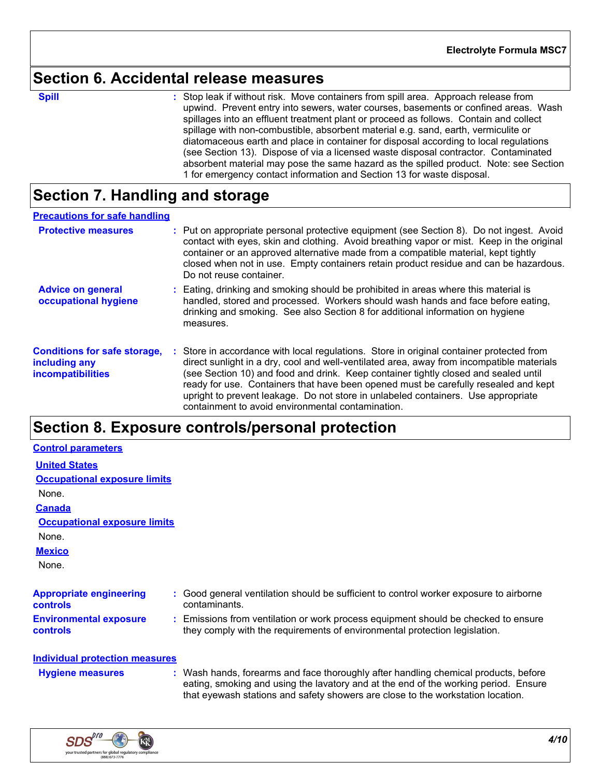# **Section 6. Accidental release measures**

**Spill** Stop leak if without risk. Move containers from spill area. Approach release from spill upwind. Prevent entry into sewers, water courses, basements or confined areas. Wash spillages into an effluent treatment plant or proceed as follows. Contain and collect spillage with non-combustible, absorbent material e.g. sand, earth, vermiculite or diatomaceous earth and place in container for disposal according to local regulations (see Section 13). Dispose of via a licensed waste disposal contractor. Contaminated absorbent material may pose the same hazard as the spilled product. Note: see Section 1 for emergency contact information and Section 13 for waste disposal.

# **Section 7. Handling and storage**

#### **Precautions for safe handling**

| <b>Protective measures</b>                                                       | : Put on appropriate personal protective equipment (see Section 8). Do not ingest. Avoid<br>contact with eyes, skin and clothing. Avoid breathing vapor or mist. Keep in the original<br>container or an approved alternative made from a compatible material, kept tightly<br>closed when not in use. Empty containers retain product residue and can be hazardous.<br>Do not reuse container.                                                                                                             |
|----------------------------------------------------------------------------------|-------------------------------------------------------------------------------------------------------------------------------------------------------------------------------------------------------------------------------------------------------------------------------------------------------------------------------------------------------------------------------------------------------------------------------------------------------------------------------------------------------------|
| <b>Advice on general</b><br>occupational hygiene                                 | : Eating, drinking and smoking should be prohibited in areas where this material is<br>handled, stored and processed. Workers should wash hands and face before eating,<br>drinking and smoking. See also Section 8 for additional information on hygiene<br>measures.                                                                                                                                                                                                                                      |
| <b>Conditions for safe storage,</b><br>including any<br><i>incompatibilities</i> | Store in accordance with local regulations. Store in original container protected from<br>direct sunlight in a dry, cool and well-ventilated area, away from incompatible materials<br>(see Section 10) and food and drink. Keep container tightly closed and sealed until<br>ready for use. Containers that have been opened must be carefully resealed and kept<br>upright to prevent leakage. Do not store in unlabeled containers. Use appropriate<br>containment to avoid environmental contamination. |

# **Section 8. Exposure controls/personal protection**

| <b>Control parameters</b>                         |                                                                                                                                                                                                                                                               |
|---------------------------------------------------|---------------------------------------------------------------------------------------------------------------------------------------------------------------------------------------------------------------------------------------------------------------|
| <b>United States</b>                              |                                                                                                                                                                                                                                                               |
| <b>Occupational exposure limits</b>               |                                                                                                                                                                                                                                                               |
| None.                                             |                                                                                                                                                                                                                                                               |
| <b>Canada</b>                                     |                                                                                                                                                                                                                                                               |
| <b>Occupational exposure limits</b>               |                                                                                                                                                                                                                                                               |
| None.                                             |                                                                                                                                                                                                                                                               |
| <b>Mexico</b>                                     |                                                                                                                                                                                                                                                               |
| None.                                             |                                                                                                                                                                                                                                                               |
| <b>Appropriate engineering</b><br><b>controls</b> | : Good general ventilation should be sufficient to control worker exposure to airborne<br>contaminants.                                                                                                                                                       |
| <b>Environmental exposure</b><br>controls         | : Emissions from ventilation or work process equipment should be checked to ensure<br>they comply with the requirements of environmental protection legislation.                                                                                              |
| <b>Individual protection measures</b>             |                                                                                                                                                                                                                                                               |
| <b>Hygiene measures</b>                           | : Wash hands, forearms and face thoroughly after handling chemical products, before<br>eating, smoking and using the lavatory and at the end of the working period. Ensure<br>that eyewash stations and safety showers are close to the workstation location. |

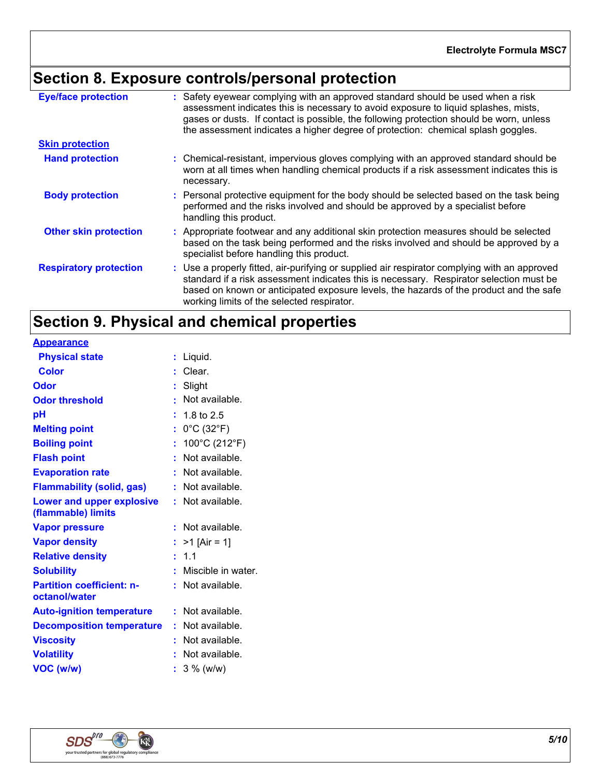# **Section 8. Exposure controls/personal protection**

| <b>Eye/face protection</b>    | : Safety eyewear complying with an approved standard should be used when a risk<br>assessment indicates this is necessary to avoid exposure to liquid splashes, mists,<br>gases or dusts. If contact is possible, the following protection should be worn, unless<br>the assessment indicates a higher degree of protection: chemical splash goggles. |
|-------------------------------|-------------------------------------------------------------------------------------------------------------------------------------------------------------------------------------------------------------------------------------------------------------------------------------------------------------------------------------------------------|
| <b>Skin protection</b>        |                                                                                                                                                                                                                                                                                                                                                       |
| <b>Hand protection</b>        | : Chemical-resistant, impervious gloves complying with an approved standard should be<br>worn at all times when handling chemical products if a risk assessment indicates this is<br>necessary.                                                                                                                                                       |
| <b>Body protection</b>        | : Personal protective equipment for the body should be selected based on the task being<br>performed and the risks involved and should be approved by a specialist before<br>handling this product.                                                                                                                                                   |
| <b>Other skin protection</b>  | : Appropriate footwear and any additional skin protection measures should be selected<br>based on the task being performed and the risks involved and should be approved by a<br>specialist before handling this product.                                                                                                                             |
| <b>Respiratory protection</b> | : Use a properly fitted, air-purifying or supplied air respirator complying with an approved<br>standard if a risk assessment indicates this is necessary. Respirator selection must be<br>based on known or anticipated exposure levels, the hazards of the product and the safe<br>working limits of the selected respirator.                       |

# **Section 9. Physical and chemical properties**

|                                  | Liquid.                         |
|----------------------------------|---------------------------------|
|                                  | Clear.                          |
|                                  | Slight                          |
|                                  | Not available.                  |
|                                  | 1.8 to 2.5                      |
|                                  | $0^{\circ}$ C (32 $^{\circ}$ F) |
|                                  | 100°C (212°F)                   |
|                                  | Not available.                  |
|                                  | Not available.                  |
|                                  | Not available.                  |
|                                  | Not available.                  |
|                                  |                                 |
|                                  | Not available.                  |
| t                                | $>1$ [Air = 1]                  |
|                                  | 1.1                             |
|                                  | Miscible in water.              |
|                                  | Not available.                  |
|                                  |                                 |
|                                  | Not available.                  |
| <b>Decomposition temperature</b> | Not available.                  |
|                                  | Not available.                  |
|                                  | Not available.                  |
|                                  | $3\%$ (w/w)                     |
|                                  |                                 |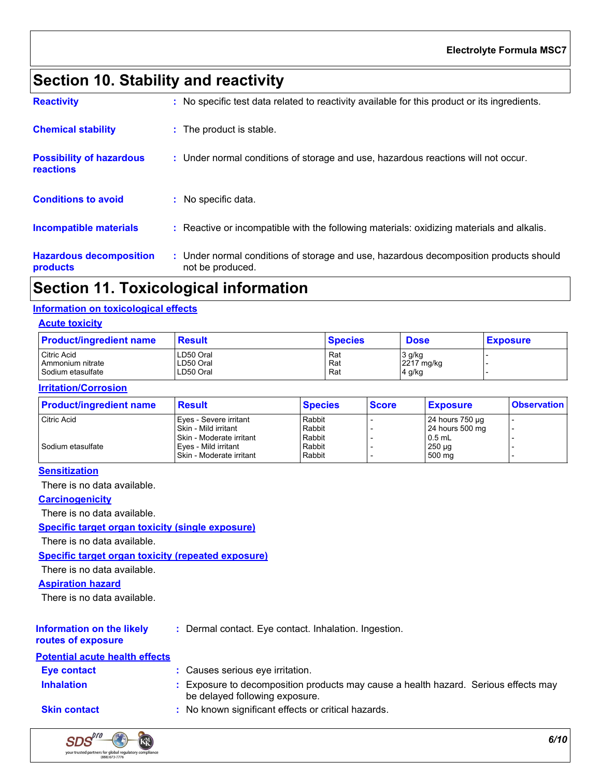# **Section 10. Stability and reactivity**

| . .                                          |                                                                                                           |
|----------------------------------------------|-----------------------------------------------------------------------------------------------------------|
| <b>Hazardous decomposition</b><br>products   | : Under normal conditions of storage and use, hazardous decomposition products should<br>not be produced. |
| <b>Incompatible materials</b>                | : Reactive or incompatible with the following materials: oxidizing materials and alkalis.                 |
| <b>Conditions to avoid</b>                   | : No specific data.                                                                                       |
| <b>Possibility of hazardous</b><br>reactions | : Under normal conditions of storage and use, hazardous reactions will not occur.                         |
| <b>Chemical stability</b>                    | : The product is stable.                                                                                  |
| <b>Reactivity</b>                            | : No specific test data related to reactivity available for this product or its ingredients.              |

## **Section 11. Toxicological information**

#### **Information on toxicological effects**

#### **Acute toxicity**

| <b>Product/ingredient name</b> | <b>Result</b> | <b>Species</b> | <b>Dose</b> | <b>Exposure</b> |
|--------------------------------|---------------|----------------|-------------|-----------------|
| <b>Citric Acid</b>             | LD50 Oral     | Rat            | 3 g/kg      |                 |
| Ammonium nitrate               | LD50 Oral     | Rat            | 2217 mg/kg  |                 |
| Sodium etasulfate              | LD50 Oral     | Rat            | 4 g/kg      |                 |

#### **Irritation/Corrosion**

| <b>Product/ingredient name</b> | <b>Result</b>              | <b>Species</b> | <b>Score</b> | <b>Exposure</b>      | <b>Observation</b> |
|--------------------------------|----------------------------|----------------|--------------|----------------------|--------------------|
| <b>Citric Acid</b>             | Eyes - Severe irritant     | Rabbit         |              | 24 hours $750 \mu g$ |                    |
|                                | Skin - Mild irritant       | Rabbit         |              | 24 hours 500 mg      |                    |
|                                | I Skin - Moderate irritant | Rabbit         |              | $0.5$ mL             |                    |
| Sodium etasulfate              | Eves - Mild irritant       | Rabbit         |              | $250 \mu g$          |                    |
|                                | Skin - Moderate irritant   | Rabbit         |              | 500 mg               |                    |

#### **Sensitization**

There is no data available.

**Carcinogenicity**

There is no data available.

#### **Specific target organ toxicity (single exposure)**

There is no data available.

#### **Specific target organ toxicity (repeated exposure)**

There is no data available.

#### **Aspiration hazard**

There is no data available.

### **Information on the likely**

**:** Dermal contact. Eye contact. Inhalation. Ingestion.

#### **routes of exposure**

**Inhalation :** Exposure to decomposition products may cause a health hazard. Serious effects may be delayed following exposure. **Skin contact :** No known significant effects or critical hazards. **Eye contact :** Causes serious eye irritation. **Potential acute health effects**

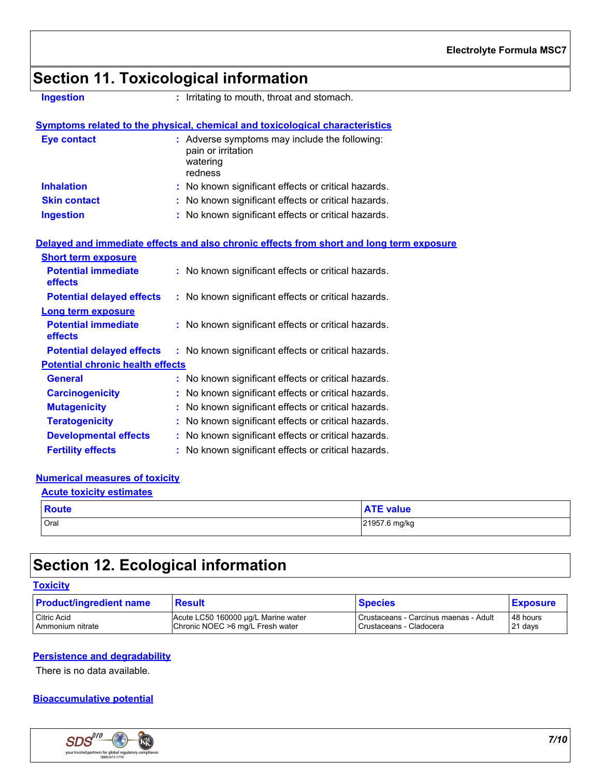# **Section 11. Toxicological information**

**Ingestion :** Irritating to mouth, throat and stomach.

|                     | Symptoms related to the physical, chemical and toxicological characteristics               |
|---------------------|--------------------------------------------------------------------------------------------|
| <b>Eye contact</b>  | : Adverse symptoms may include the following:<br>pain or irritation<br>watering<br>redness |
| <b>Inhalation</b>   | : No known significant effects or critical hazards.                                        |
| <b>Skin contact</b> | : No known significant effects or critical hazards.                                        |
| <b>Ingestion</b>    | : No known significant effects or critical hazards.                                        |

#### **Delayed and immediate effects and also chronic effects from short and long term exposure**

| <b>Short term exposure</b>                   |                                                     |
|----------------------------------------------|-----------------------------------------------------|
| <b>Potential immediate</b><br><b>effects</b> | : No known significant effects or critical hazards. |
| <b>Potential delayed effects</b>             | : No known significant effects or critical hazards. |
| <b>Long term exposure</b>                    |                                                     |
| <b>Potential immediate</b><br><b>effects</b> | : No known significant effects or critical hazards. |
| <b>Potential delayed effects</b>             | : No known significant effects or critical hazards. |
| <b>Potential chronic health effects</b>      |                                                     |
| <b>General</b>                               | : No known significant effects or critical hazards. |
| <b>Carcinogenicity</b>                       | : No known significant effects or critical hazards. |
| <b>Mutagenicity</b>                          | : No known significant effects or critical hazards. |
| <b>Teratogenicity</b>                        | : No known significant effects or critical hazards. |
| <b>Developmental effects</b>                 | : No known significant effects or critical hazards. |
| <b>Fertility effects</b>                     | : No known significant effects or critical hazards. |

#### **Numerical measures of toxicity**

| <b>Acute toxicity estimates</b> |                  |
|---------------------------------|------------------|
| <b>Route</b>                    | <b>ATE value</b> |
| Oral                            | 21957.6 mg/kg    |

# **Section 12. Ecological information**

### **Toxicity**

| <b>Product/ingredient name</b> | <b>Result</b>                       | <b>Species</b>                        | <b>Exposure</b> |
|--------------------------------|-------------------------------------|---------------------------------------|-----------------|
| Citric Acid                    | Acute LC50 160000 µg/L Marine water | Crustaceans - Carcinus maenas - Adult | 48 hours        |
| <b>Ammonium nitrate</b>        | Chronic NOEC >6 mg/L Fresh water    | Crustaceans - Cladocera               | 21 days         |

#### **Persistence and degradability**

There is no data available.

### **Bioaccumulative potential**

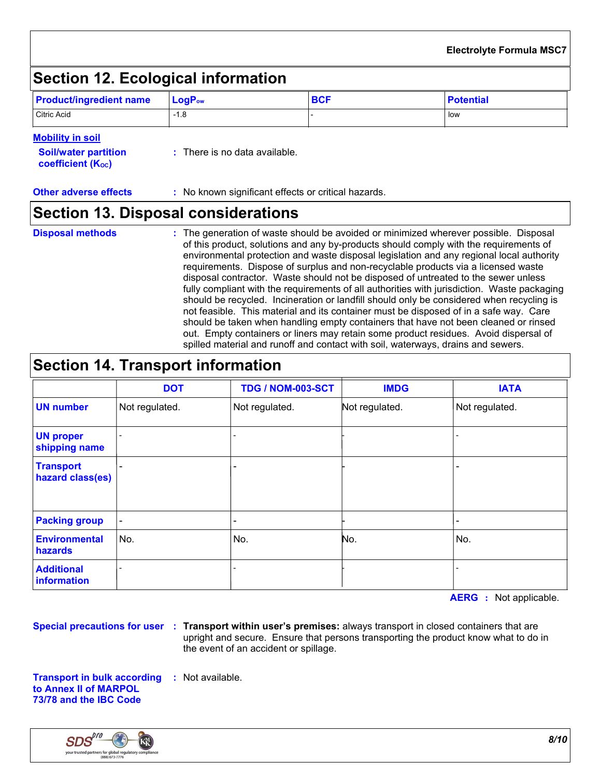# **Section 12. Ecological information**

| <b>Product/ingredient name</b> | $\blacksquare$ Log $\mathsf{P}_{\mathsf{ow}}$ | <b>BCF</b> | <b>Potential</b> |
|--------------------------------|-----------------------------------------------|------------|------------------|
| Citric Acid                    | $-1.8$                                        |            | low              |

#### **Mobility in soil**

| <b>Soil/water partition</b><br><b>coefficient (K<sub>oc</sub>)</b> | : There is no data available. |
|--------------------------------------------------------------------|-------------------------------|
|                                                                    |                               |

**Other adverse effects** : No known significant effects or critical hazards.

# **Section 13. Disposal considerations**

#### **Disposal methods :**

The generation of waste should be avoided or minimized wherever possible. Disposal of this product, solutions and any by-products should comply with the requirements of environmental protection and waste disposal legislation and any regional local authority requirements. Dispose of surplus and non-recyclable products via a licensed waste disposal contractor. Waste should not be disposed of untreated to the sewer unless fully compliant with the requirements of all authorities with jurisdiction. Waste packaging should be recycled. Incineration or landfill should only be considered when recycling is not feasible. This material and its container must be disposed of in a safe way. Care should be taken when handling empty containers that have not been cleaned or rinsed out. Empty containers or liners may retain some product residues. Avoid dispersal of spilled material and runoff and contact with soil, waterways, drains and sewers.

# **Section 14. Transport information**

|                                      | <b>DOT</b>               | TDG / NOM-003-SCT        | <b>IMDG</b>    | <b>IATA</b>    |
|--------------------------------------|--------------------------|--------------------------|----------------|----------------|
| <b>UN number</b>                     | Not regulated.           | Not regulated.           | Not regulated. | Not regulated. |
| <b>UN proper</b><br>shipping name    |                          | $\overline{\phantom{a}}$ |                |                |
| <b>Transport</b><br>hazard class(es) |                          | $\blacksquare$           |                |                |
| <b>Packing group</b>                 | $\overline{\phantom{a}}$ | $\qquad \qquad$          |                |                |
| <b>Environmental</b><br>hazards      | No.                      | No.                      | No.            | No.            |
| <b>Additional</b><br>information     |                          |                          |                |                |

**AERG :** Not applicable.

**Special precautions for user Transport within user's premises:** always transport in closed containers that are **:** upright and secure. Ensure that persons transporting the product know what to do in the event of an accident or spillage.

**Transport in bulk according :** Not available. **to Annex II of MARPOL 73/78 and the IBC Code**

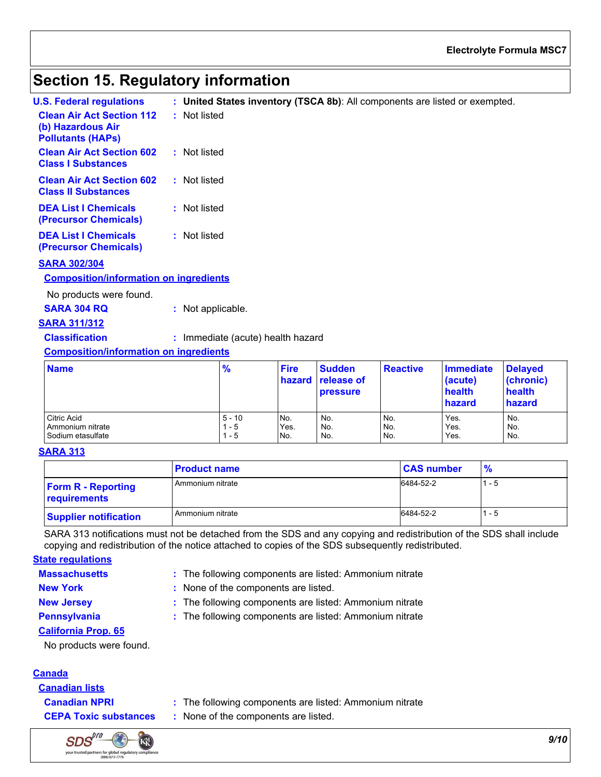#### **Electrolyte Formula MSC7**

# **Section 15. Regulatory information**

| U.S. Federal requlations                                                          | : United States inventory (TSCA 8b): All components are listed or exempted. |
|-----------------------------------------------------------------------------------|-----------------------------------------------------------------------------|
| <b>Clean Air Act Section 112</b><br>(b) Hazardous Air<br><b>Pollutants (HAPs)</b> | : Not listed                                                                |
| <b>Clean Air Act Section 602</b><br><b>Class I Substances</b>                     | : Not listed                                                                |
| <b>Clean Air Act Section 602</b><br><b>Class II Substances</b>                    | : Not listed                                                                |
| <b>DEA List I Chemicals</b><br>(Precursor Chemicals)                              | : Not listed                                                                |
| <b>DEA List I Chemicals</b><br><b>(Precursor Chemicals)</b>                       | : Not listed                                                                |

#### **SARA 302/304**

#### **Composition/information on ingredients**

No products were found.

| <b>SARA 304 RQ</b> | Not applicable. |
|--------------------|-----------------|
|--------------------|-----------------|

#### **SARA 311/312**

| <b>Classification</b> | : Immediate (acute) health hazard |
|-----------------------|-----------------------------------|
|-----------------------|-----------------------------------|

#### **Composition/information on ingredients**

| <b>Name</b>        | $\frac{9}{6}$ | <b>Fire</b> | <b>Sudden</b><br><b>hazard</b> release of<br><b>pressure</b> | <b>Reactive</b> | Immediate<br>(acute)<br>health<br>hazard | <b>Delayed</b><br>(chronic)<br>health<br>hazard |
|--------------------|---------------|-------------|--------------------------------------------------------------|-----------------|------------------------------------------|-------------------------------------------------|
| <b>Citric Acid</b> | $5 - 10$      | No.         | No.                                                          | No.             | Yes.                                     | No.                                             |
| Ammonium nitrate   | $1 - 5$       | Yes.        | No.                                                          | No.             | Yes.                                     | No.                                             |
| Sodium etasulfate  | 1 - 5         | No.         | No.                                                          | No.             | Yes.                                     | No.                                             |

#### **SARA 313**

|                                           | <b>Product name</b> | <b>CAS number</b> | $\frac{9}{6}$ |
|-------------------------------------------|---------------------|-------------------|---------------|
| <b>Form R - Reporting</b><br>requirements | Ammonium nitrate    | 6484-52-2         | l 1 - 5       |
| <b>Supplier notification</b>              | Ammonium nitrate    | 6484-52-2         | l 1 - 5       |

SARA 313 notifications must not be detached from the SDS and any copying and redistribution of the SDS shall include copying and redistribution of the notice attached to copies of the SDS subsequently redistributed.

#### **State regulations**

**Massachusetts**

The following components are listed: Ammonium nitrate **:**

- 
- **New York :** None of the components are listed.

- 
- 
- **New Jersey :** The following components are listed: Ammonium nitrate **Pennsylvania :** The following components are listed: Ammonium nitrate

**California Prop. 65**

No products were found.

### **Canada**

**Canadian lists**



- **Canadian NPRI :** The following components are listed: Ammonium nitrate
- **CEPA Toxic substances :** None of the components are listed.